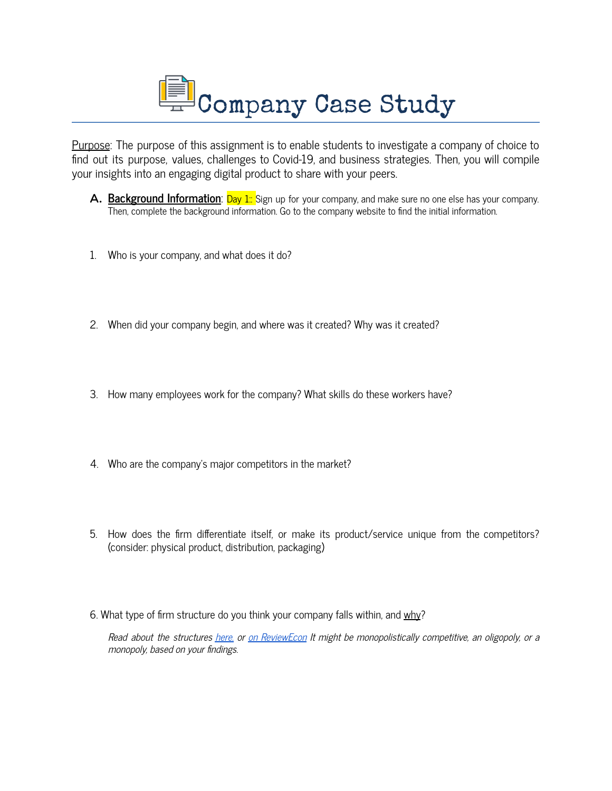

Purpose: The purpose of this assignment is to enable students to investigate a company of choice to find out its purpose, values, challenges to Covid-19, and business strategies. Then, you will compile your insights into an engaging digital product to share with your peers.

- **A. Background Information**: **Day 1:** Sign up for your company, and make sure no one else has your company. Then, complete the background information. Go to the company website to find the initial information.
- 1. Who is your company, and what does it do?
- 2. When did your company begin, and where was it created? Why was it created?
- 3. How many employees work for the company? What skills do these workers have?
- 4. Who are the company's major competitors in the market?
- 5. How does the firm differentiate itself, or make its product/service unique from the competitors? (consider: physical product, distribution, packaging)
- 6. What type of firm structure do you think your company falls within, and why?

Read about the structures here, or on [ReviewEcon](https://www.reviewecon.com/4-market-structures1) It might be monopolistically competitive, an oligopoly, or a monopoly, based on your findings.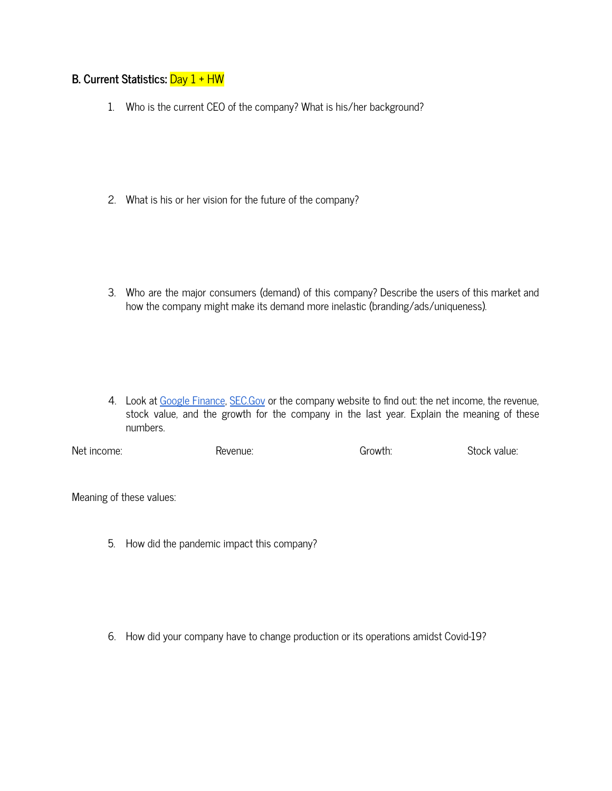## **B. Current Statistics:** Day 1 + HW

1. Who is the current CEO of the company? What is his/her background?

2. What is his or her vision for the future of the company?

3. Who are the major consumers (demand) of this company? Describe the users of this market and how the company might make its demand more inelastic (branding/ads/uniqueness).

4. Look at Google [Finance](https://www.google.com/finance/), [SEC.Gov](https://www.sec.gov/edgar/searchedgar/companysearch.html) or the company website to find out: the net income, the revenue, stock value, and the growth for the company in the last year. Explain the meaning of these numbers.

Net income: Revenue: Growth: Stock value:

Meaning of these values:

5. How did the pandemic impact this company?

6. How did your company have to change production or its operations amidst Covid-19?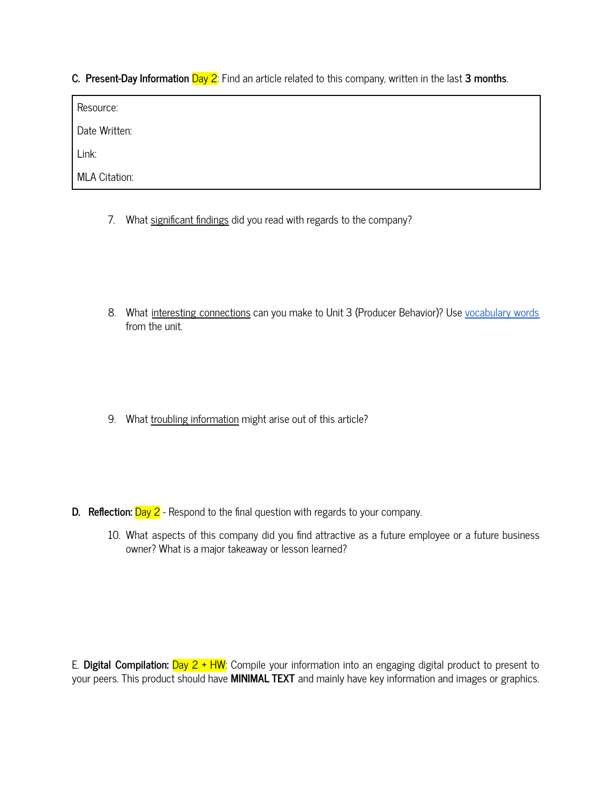**C. Present-Day Information** Day 2: Find an article related to this company, written in the last **3 months**.

| Resource:            |  |  |
|----------------------|--|--|
| Date Written:        |  |  |
| Link:                |  |  |
| <b>MLA Citation:</b> |  |  |

- 7. What significant findings did you read with regards to the company?
- 8. What interesting connections can you make to Unit 3 (Producer Behavior)? Use [vocabulary](https://quizlet.com/545362409/unit-3-costs-unit-4-the-theory-of-the-firm-combined-flash-cards/) words from the unit.

9. What troubling information might arise out of this article?

- **D. Reflection:** Day 2 Respond to the final question with regards to your company.
	- 10. What aspects of this company did you find attractive as a future employee or a future business owner? What is a major takeaway or lesson learned?

E. **Digital Compilation:** Day 2 + HW: Compile your information into an engaging digital product to present to your peers. This product should have **MINIMAL TEXT** and mainly have key information and images or graphics.